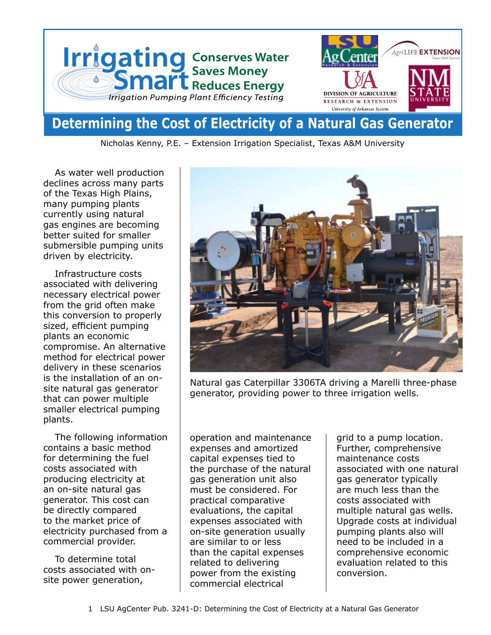

# **Determining the Cost of Electricity of a Natural Gas Generator**

Nicholas Kenny, P.E. – Extension Irrigation Specialist, Texas A&M University

As water well production declines across many parts of the Texas High Plains, many pumping plants currently using natural gas engines are becoming better suited for smaller submersible pumping units driven by electricity.

Infrastructure costs associated with delivering necessary electrical power from the grid often make this conversion to properly sized, efficient pumping plants an economic compromise. An alternative method for electrical power delivery in these scenarios is the installation of an onsite natural gas generator that can power multiple smaller electrical pumping plants.

The following information contains a basic method for determining the fuel costs associated with producing electricity at an on-site natural gas generator. This cost can be directly compared to the market price of electricity purchased from a commercial provider.

To determine total costs associated with onsite power generation,



Natural gas Caterpillar 3306TA driving a Marelli three-phase generator, providing power to three irrigation wells.

operation and maintenance expenses and amortized capital expenses tied to the purchase of the natural gas generation unit also must be considered. For practical comparative evaluations, the capital expenses associated with on-site generation usually are similar to or less than the capital expenses related to delivering power from the existing commercial electrical

grid to a pump location. Further, comprehensive maintenance costs associated with one natural gas generator typically are much less than the costs associated with multiple natural gas wells. Upgrade costs at individual pumping plants also will need to be included in a comprehensive economic evaluation related to this conversion.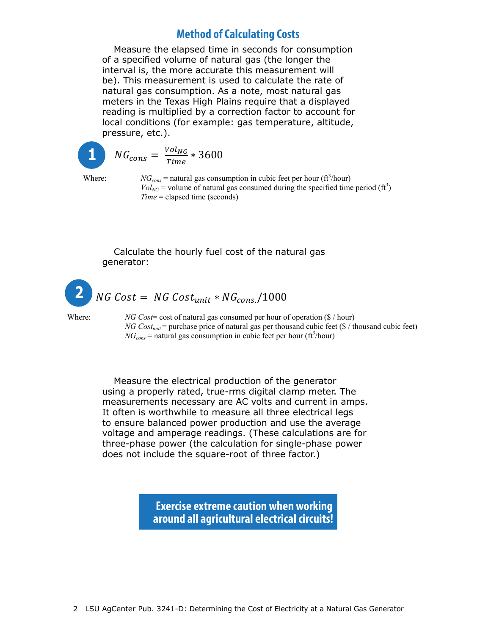## **Example 20 In the Method of Calculating Costs Community Costs**

Measure the elapsed time in seconds for consumption of a specified volume of natural gas (the longer the interval is, the more accurate this measurement will be). This measurement is used to calculate the rate of bey. This measurement is used to calculate the rate of natural gas consumption. As a note, most natural gas meters in the Texas High Plains require that a displayed reading is multiplied by a correction factor to account for local conditions (for example: gas temperature, altitude, pressure, etc.). phase generator, providing power to three irrigation related to delivering power from the existing commercial electrical grid to a pump location. Further, comprehensive  $\frac{1}{2}$  phase generator, provided power to the international power to the international power to the international power to the international power to the international power to the international power to the internatio

$$
\boxed{\color{blue}{1}}\color{black} \boxed{\color{blue}{NG_{co}}}
$$

Calculate the hourly fuel cost of the natural gas generator:

$$
N G_{cons} = \frac{Vol_{NG}}{Time} * 3600
$$

Where:  $NG_{cons}$  = natural gas consumption in cubic feet per hour (ft<sup>3</sup>/hour) *Vol<sub>NG</sub>* = volume of natural gas consumption in case celebrature (for  $\frac{\text{(R)}\text{(R)}}{\text{(R)}\text{(R)}}$ ) *Time* = elapsed time (seconds)

#### Calculate the hourly fuel cost of the natural gas generator: Where  $\alpha$  costs of  $\alpha$  is natural gas consumed per hour of  $\alpha$  /  $\alpha$  /  $\beta$  /  $\alpha$  /  $\beta$  /  $\alpha$  /  $\alpha$  /  $\alpha$  /  $\alpha$  /  $\alpha$  /  $\alpha$  /  $\alpha$  /  $\alpha$  /  $\alpha$  /  $\alpha$  /  $\alpha$  /  $\alpha$  /  $\alpha$  /  $\alpha$  /  $\alpha$  /  $\alpha$  /  $\alpha$  /  $\alpha$  /

### $NG$  Cost = NG Cost<sub>unit</sub> \*  $NG_{cons.}/1000$ **2**

Where: *NG Cost*= cost of natural gas consumed per hour of operation (\$ / hour) where  $\frac{NIG \text{Cos}}{1000 \text{ N}}$  cost of natural gas consumed per nout of operation (s) (nout) *NG Cost<sub>unit</sub>* = purchase price of natural gas per thousand cubic feet (\$ / thousand cubic feet)  $NG<sub>cons</sub>$  = natural gas consumption in cubic feet per hour (ft<sup>3</sup>/hour)

power production and use the average voltage and amperage readings. (These calculations are for three-phase power (the Measure the electrical production of the generator using a properly rated, true-rms digital clamp meter. The measurements necessary are AC volts and current in amps. It often is worthwhile to measure all three electrical legs to ensure balanced power production and use the average voltage and amperage readings. (These calculations are for three-phase power (the calculation for single-phase power does not include the square-root of three factor.)

> **Exercise extreme caution when working around all agricultural electrical circuits!**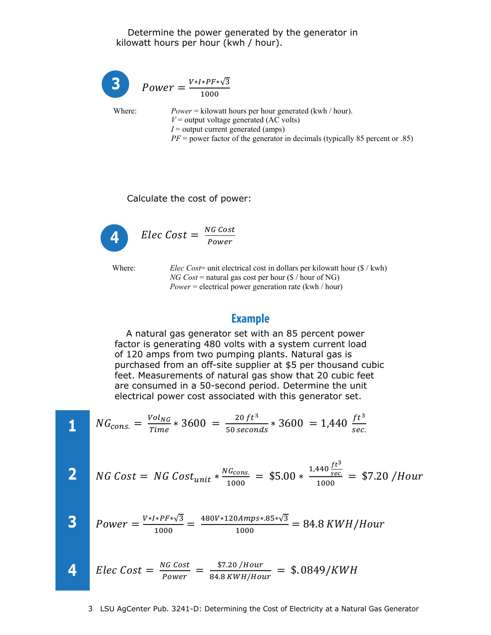#### Determine the power generated by the generator in kilowatt hours per hour (kwh / hour).

*Power* =  $\frac{V*I*PF*\sqrt{3}}{1000}$ 

Where:

 $Power = kilowatt hours per hour generated (kwh / hour).$  $V =$  output voltage generated (AC volts)  $I =$  output current generated (amps)  $PF$  = power factor of the generator in decimals (typically 85 percent or .85)

Calculate the cost of power:



Where:

*Elec Cost*= unit electrical cost in dollars per kilowatt hour  $(\frac{f}{g} / kwh)$  $NG$  Cost = natural gas cost per hour (\$ / hour of NG)  $Power = electrical power generation rate (kwh / hour)$ 

#### **Example**

A natural gas generator set with an 85 percent power factor is generating 480 volts with a system current load of 120 amps from two pumping plants. Natural gas is purchased from an off-site supplier at \$5 per thousand cubic feet. Measurements of natural gas show that 20 cubic feet are consumed in a 50-second period. Determine the unit electrical power cost associated with this generator set.

1 
$$
NG_{cons.} = \frac{Vol_{NG}}{Time} * 3600 = \frac{20 ft^3}{50 seconds} * 3600 = 1,440 \frac{ft^3}{sec.}
$$
  
\n2  $NG Cost = NG Cost_{unit} * \frac{NG_{cons.}}{1000} = $5.00 * \frac{1,440 \frac{ft^3}{sec}}{1000} = $7.20 / Hour$   
\n3  $Power = \frac{V*I*PF* \sqrt{3}}{1000} = \frac{480V*120Amps*.85*\sqrt{3}}{1000} = 84.8 KWH/Hour$   
\n4  $Elec Cost = \frac{NG Cost}{Power} = \frac{$7.20 / Hour}{84.8 KWH/Hour} = $.0849/KWH$